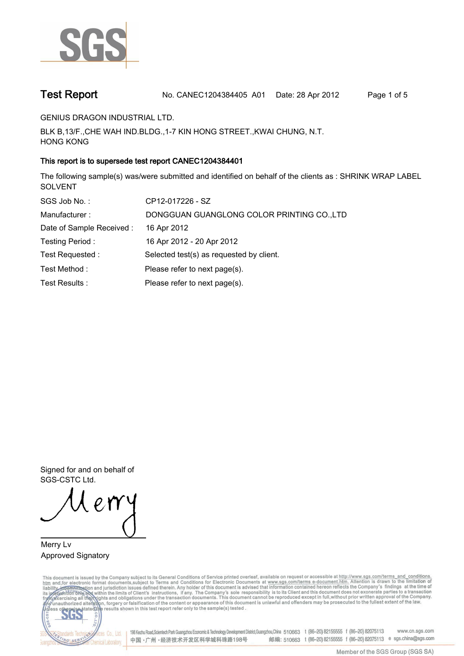

**Test Report. No. CANEC1204384405 A01 Date: 28 Apr 2012. Page 1 of 5.**

**GENIUS DRAGON INDUSTRIAL LTD..**

**BLK B,13/F.,CHE WAH IND.BLDG.,1-7 KIN HONG STREET.,KWAI CHUNG, N.T. HONG KONG.**

## **This report is to supersede test report CANEC1204384401.**

**The following sample(s) was/were submitted and identified on behalf of the clients as : SHRINK WRAP LABEL SOLVENT.**

| SGS Job No.:              | CP12-017226 - SZ                           |
|---------------------------|--------------------------------------------|
| Manufacturer:             | DONGGUAN GUANGLONG COLOR PRINTING CO., LTD |
| Date of Sample Received : | 16 Apr 2012                                |
| Testing Period:           | 16 Apr 2012 - 20 Apr 2012                  |
| Test Requested:           | Selected test(s) as requested by client.   |
| Test Method:              | Please refer to next page(s).              |
| Test Results :            | Please refer to next page(s).              |

**Signed for and on behalf of SGS-CSTC Ltd..**

**Merry Lv. Approved Signatory.**

This document is issued by the Company subject to its General Conditions of Service printed overleaf, available on request or accessible at http://www.sgs.com/terms\_and\_conditions.<br>htm\_and,for electronic format documents,s



198 Kezhu Road,Scientech Park Guangzhou Economic & Technology Development District,Guangzhou,China 510663 t (86-20) 82155555 f (86-20) 82075113 www.cn.sgs.com 邮编: 510663 t (86-20) 82155555 f (86-20) 82075113 e sgs.china@sgs.com 中国·广州·经济技术开发区科学城科珠路198号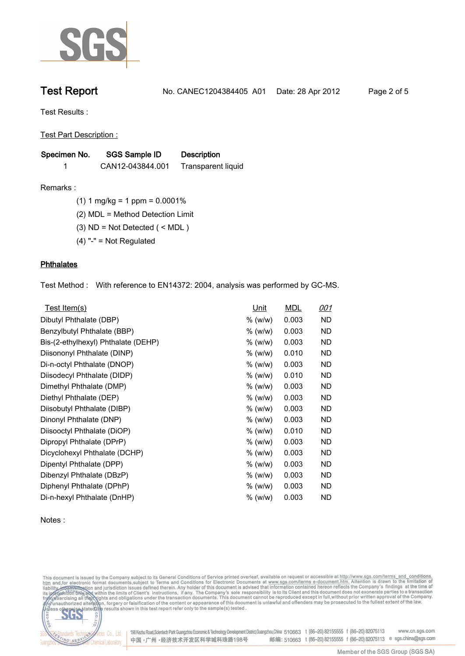

**Test Report. No. CANEC1204384405 A01 Date: 28 Apr 2012. Page 2 of 5.**

**Test Results :.**

**Test Part Description :.**

| Specimen No. | SGS Sample ID    | <b>Description</b>        |
|--------------|------------------|---------------------------|
|              | CAN12-043844.001 | <b>Transparent liquid</b> |

**Remarks :.(1) 1 mg/kg = 1 ppm = 0.0001%.**

**(2) MDL = Method Detection Limit.**

**(3) ND = Not Detected ( < MDL ).**

**(4) "-" = Not Regulated.**

### **Phthalates.**

**Test Method :. With reference to EN14372: 2004, analysis was performed by GC-MS..**

| Test Item(s)                        | <u>Unit</u> | <b>MDL</b> | <u>001</u> |
|-------------------------------------|-------------|------------|------------|
| Dibutyl Phthalate (DBP)             | % (w/w)     | 0.003      | ND         |
| Benzylbutyl Phthalate (BBP)         | % (w/w)     | 0.003      | ND         |
| Bis-(2-ethylhexyl) Phthalate (DEHP) | % (w/w)     | 0.003      | ND         |
| Diisononyl Phthalate (DINP)         | % (w/w)     | 0.010      | ND         |
| Di-n-octyl Phthalate (DNOP)         | % (w/w)     | 0.003      | ND         |
| Diisodecyl Phthalate (DIDP)         | % (w/w)     | 0.010      | <b>ND</b>  |
| Dimethyl Phthalate (DMP)            | $%$ (w/w)   | 0.003      | ND         |
| Diethyl Phthalate (DEP)             | % (w/w)     | 0.003      | ND.        |
| Diisobutyl Phthalate (DIBP)         | % (w/w)     | 0.003      | <b>ND</b>  |
| Dinonyl Phthalate (DNP)             | % (w/w)     | 0.003      | ND.        |
| Diisooctyl Phthalate (DiOP)         | % (w/w)     | 0.010      | ND.        |
| Dipropyl Phthalate (DPrP)           | % (w/w)     | 0.003      | ND         |
| Dicyclohexyl Phthalate (DCHP)       | % (w/w)     | 0.003      | ND         |
| Dipentyl Phthalate (DPP)            | % (w/w)     | 0.003      | ND.        |
| Dibenzyl Phthalate (DBzP)           | % (w/w)     | 0.003      | ND         |
| Diphenyl Phthalate (DPhP)           | % (w/w)     | 0.003      | ND         |
| Di-n-hexyl Phthalate (DnHP)         | $%$ (w/w)   | 0.003      | ND         |

**Notes :.**

This document is issued by the Company subject to its General Conditions of Service printed overleaf, available on request or accessible at http://www.sgs.com/terms\_and\_conditions.<br>htm\_and, for electronic format documents,



Cos Co., Ltd. 198 Kezhu Road,Scientech Park Guangzhou Economic & Technology Development District,Guangzhou,China 510663 t (86-20) 82155555 f (86-20) 82075113 www.cn.sgs.com 邮编: 510663 t (86-20) 82155555 f (86-20) 82075113 e sgs.china@sgs.com 中国·广州·经济技术开发区科学城科珠路198号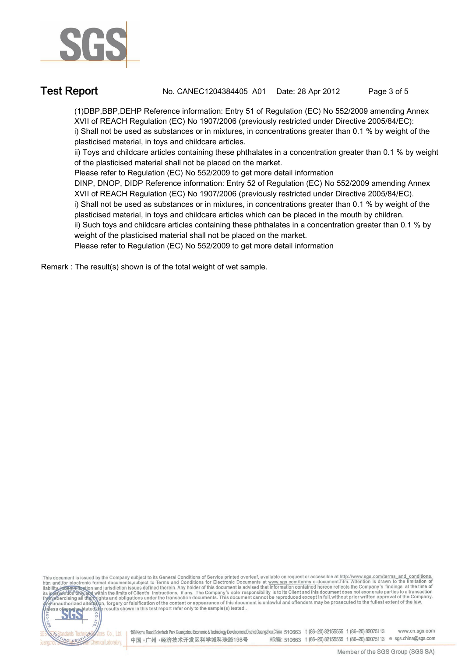

**NG SER** 

**Test Report. No. CANEC1204384405 A01 Date: 28 Apr 2012. Page 3 of 5.**

**(1)DBP,BBP,DEHP Reference information: Entry 51 of Regulation (EC) No 552/2009 amending Annex XVII of REACH Regulation (EC) No 1907/2006 (previously restricted under Directive 2005/84/EC): i) Shall not be used as substances or in mixtures, in concentrations greater than 0.1 % by weight of the plasticised material, in toys and childcare articles.** 

**ii) Toys and childcare articles containing these phthalates in a concentration greater than 0.1 % by weight of the plasticised material shall not be placed on the market.** 

**Please refer to Regulation (EC) No 552/2009 to get more detail information**

**DINP, DNOP, DIDP Reference information: Entry 52 of Regulation (EC) No 552/2009 amending Annex XVII of REACH Regulation (EC) No 1907/2006 (previously restricted under Directive 2005/84/EC).** 

**i) Shall not be used as substances or in mixtures, in concentrations greater than 0.1 % by weight of the plasticised material, in toys and childcare articles which can be placed in the mouth by children.** 

**ii) Such toys and childcare articles containing these phthalates in a concentration greater than 0.1 % by weight of the plasticised material shall not be placed on the market.** 

**Please refer to Regulation (EC) No 552/2009 to get more detail information.**

**Remark : The result(s) shown is of the total weight of wet sample..**



邮编: 510663 t (86-20) 82155555 f (86-20) 82075113 e sgs.china@sgs.com 中国·广州·经济技术开发区科学城科珠路198号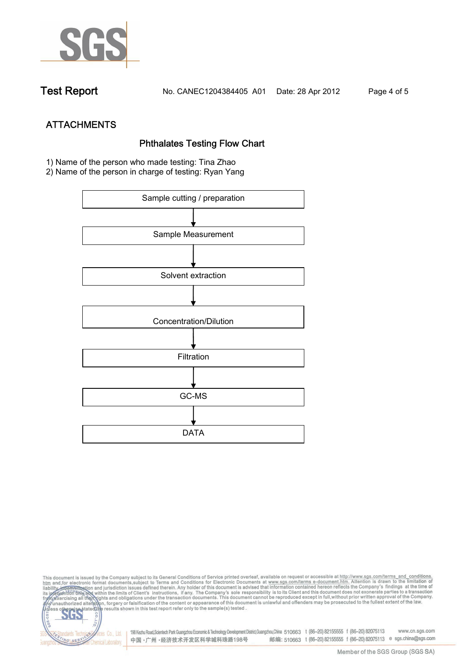

**Test Report. No. CANEC1204384405 A01 Date: 28 Apr 2012. Page 4 of 5.**

**ATTACHMENTS Phthalates Testing Flow Chart 1)** Name of the person who made testing: **Tina Zhao**

**2)** Name of the person in charge of testing: **Ryan Yang**



This document is issued by the Company subject to its General Conditions of Service printed overleaf, available on request or accessible at http://www.sgs.com/terms\_and\_conditions.<br>htm\_and,for electronic format documents,s co **202** 198 Kezhu Road,Scientech Park Guangzhou Economic & Technology Development District,Guangzhou,China 510663 t (86-20) 82155555 f (86-20) 82075113 www.cn.sgs.com dards Ter vices Co., Ltd. 邮编: 510663 t (86-20) 82155555 f (86-20) 82075113 e sgs.china@sgs.com 中国·广州·经济技术开发区科学城科珠路198号 NG SER **Chemical Laboratory**